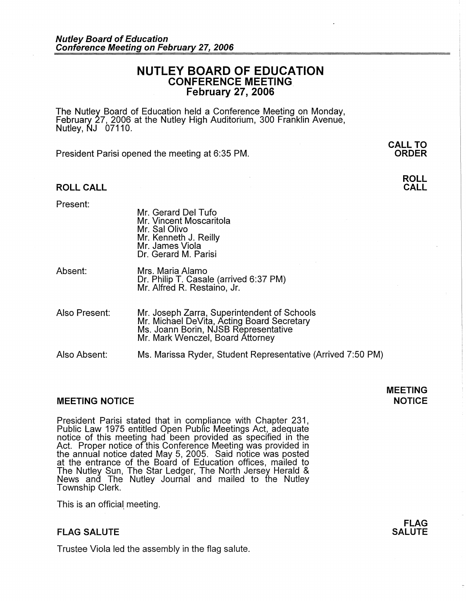## **NUTLEY BOARD OF EDUCATION CONFERENCE MEETING February 27, 2006**

The Nutley Board of Education held a Conference Meeting on Monday, February 27, 2006 at the Nutley High Auditorium, 300 Franklin Avenue, Nutley, NJ 07110.

President Parisi opened the meeting at 6:35 PM.

### **ROLL CALL**

**ORDER** 

**ROLL CALL** 

**CALL TO** 

Present:

- Mr. Gerard Del Tufo Mr. Vincent Moscaritola Mr. Sal Olivo Mr. Kenneth J. Reilly Mr. James Viola Dr. Gerard M. Parisi
- Absent: Mrs. Maria Alamo Dr. Philip T. Casale (arrived 6:37 PM) Mr. Alfred R. Restaino, Jr.
- Also Present: Mr. Joseph Zarra, Superintendent of Schools Mr. Michael DeVita, Acting Board Secretary Ms. Joann Borin, NJSB Representative Mr. Mark Wenczel, Board Attorney

Also Absent: Ms. Marissa Ryder, Student Representative (Arrived 7:50 PM)

### **MEETING NOTICE NOTICE AND INCOMEDIATE**

President Parisi stated that in compliance with Chapter 231, Public Law 1975 entitled Open Public Meetings Act, adequate notice of this meeting had been provided as specified in the Act. Proper notice of this Conference Meeting was provided in the annual notice dated May 5, 2005. Said notice was posted at the entrance of the Board of Education offices, mailed to The Nutley Sun, The Star Ledger, The North Jersey Herald & News and The Nutley Journal and mailed to the Nutley Township Clerk.

This is an official, meeting.

### **FLAG SALUTE**

Trustee Viola led the assembly in the flag salute.

# **MEETING**